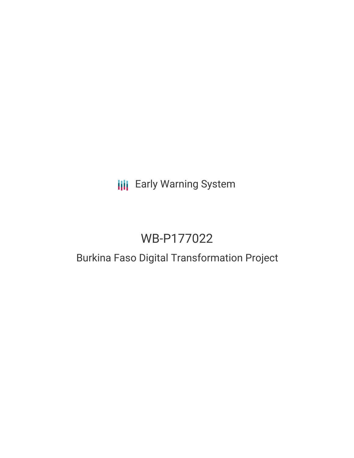# **III** Early Warning System

# WB-P177022

## Burkina Faso Digital Transformation Project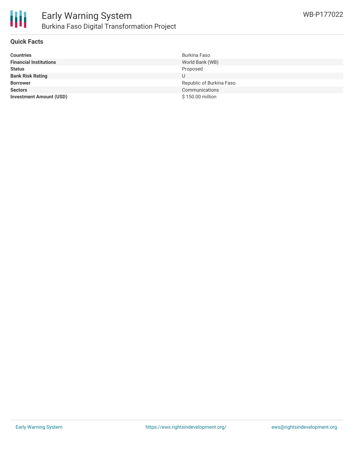

### **Quick Facts**

| <b>Countries</b>               | Burkina Faso             |
|--------------------------------|--------------------------|
| <b>Financial Institutions</b>  | World Bank (WB)          |
| <b>Status</b>                  | Proposed                 |
| <b>Bank Risk Rating</b>        | U                        |
| <b>Borrower</b>                | Republic of Burkina Faso |
| <b>Sectors</b>                 | Communications           |
| <b>Investment Amount (USD)</b> | \$150.00 million         |
|                                |                          |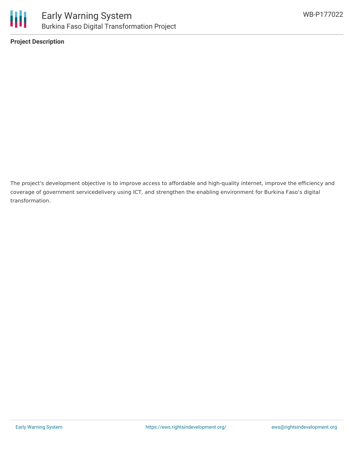

**Project Description**

The project's development objective is to improve access to affordable and high-quality internet, improve the efficiency and coverage of government servicedelivery using ICT, and strengthen the enabling environment for Burkina Faso's digital transformation.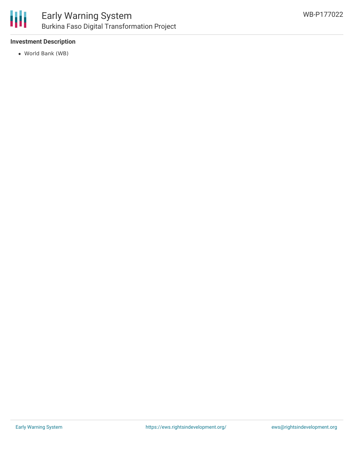

### **Investment Description**

World Bank (WB)